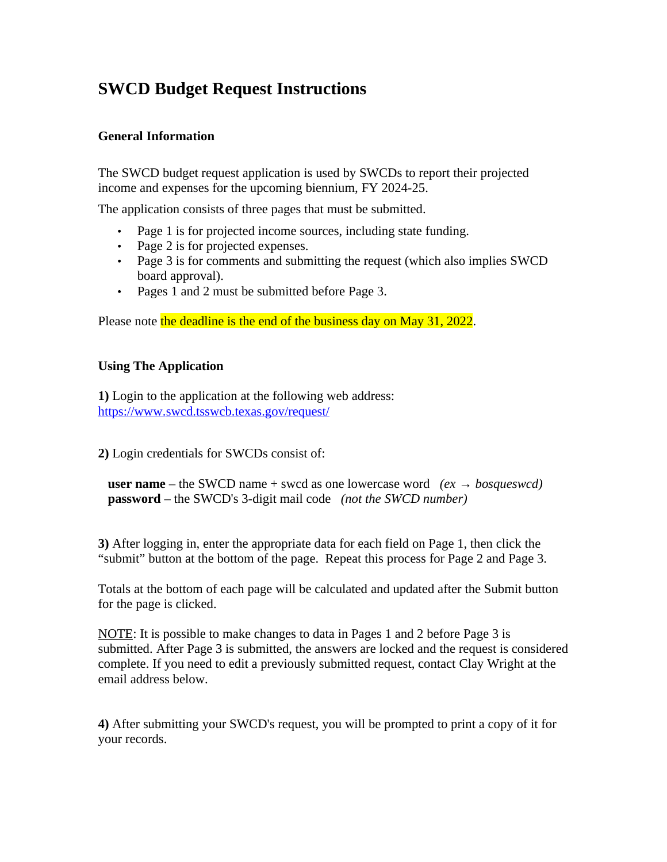# **SWCD Budget Request Instructions**

### **General Information**

The SWCD budget request application is used by SWCDs to report their projected income and expenses for the upcoming biennium, FY 2024-25.

The application consists of three pages that must be submitted.

- Page 1 is for projected income sources, including state funding.
- Page 2 is for projected expenses.
- Page 3 is for comments and submitting the request (which also implies SWCD board approval).
- Pages 1 and 2 must be submitted before Page 3.

Please note the deadline is the end of the business day on May 31, 2022.

### **Using The Application**

**1)** Login to the application at the following web address:  [https://www. swcd. tsswcb.texas.gov/request/](https://www.swcd.tsswcb.texas.gov/request/)

**2)** Login credentials for SWCDs consist of:

 **user name** – the SWCD name + swcd as one lowercase word *(ex*  $\rightarrow$  *bosqueswcd)*  **password** – the SWCD's 3-digit mail code *(not the SWCD number)*

**3)** After logging in, enter the appropriate data for each field on Page 1, then click the "submit" button at the bottom of the page. Repeat this process for Page 2 and Page 3.

Totals at the bottom of each page will be calculated and updated after the Submit button for the page is clicked.

NOTE: It is possible to make changes to data in Pages 1 and 2 before Page 3 is submitted. After Page 3 is submitted, the answers are locked and the request is considered complete. If you need to edit a previously submitted request, contact Clay Wright at the email address below.

**4)** After submitting your SWCD's request, you will be prompted to print a copy of it for your records.